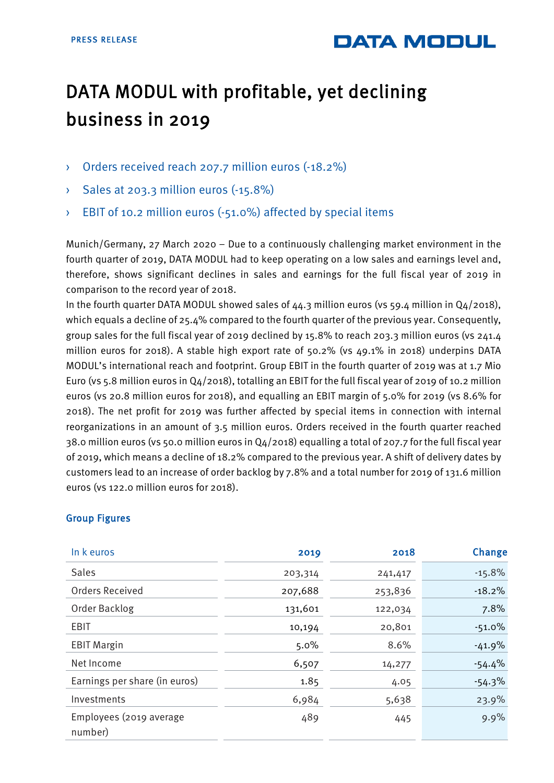```
DATA MODUL
```
## DATA MODUL with profitable, yet declining business in 2019

- › Orders received reach 207.7 million euros (-18.2%)
- › Sales at 203.3 million euros (-15.8%)
- › EBIT of 10.2 million euros (-51.0%) affected by special items

Munich/Germany, 27 March 2020 – Due to a continuously challenging market environment in the fourth quarter of 2019, DATA MODUL had to keep operating on a low sales and earnings level and, therefore, shows significant declines in sales and earnings for the full fiscal year of 2019 in comparison to the record year of 2018.

In the fourth quarter DATA MODUL showed sales of 44.3 million euros (vs 59.4 million in Q4/2018), which equals a decline of 25.4% compared to the fourth quarter of the previous year. Consequently, group sales for the full fiscal year of 2019 declined by 15.8% to reach 203.3 million euros (vs 241.4 million euros for 2018). A stable high export rate of 50.2% (vs 49.1% in 2018) underpins DATA MODUL's international reach and footprint. Group EBIT in the fourth quarter of 2019 was at 1.7 Mio Euro (vs 5.8 million euros in Q4/2018), totalling an EBIT for the full fiscal year of 2019 of 10.2 million euros (vs 20.8 million euros for 2018), and equalling an EBIT margin of 5.0% for 2019 (vs 8.6% for 2018). The net profit for 2019 was further affected by special items in connection with internal reorganizations in an amount of 3.5 million euros. Orders received in the fourth quarter reached 38.0 million euros (vs 50.0 million euros in Q4/2018) equalling a total of 207.7 for the full fiscal year of 2019, which means a decline of 18.2% compared to the previous year. A shift of delivery dates by customers lead to an increase of order backlog by 7.8% and a total number for 2019 of 131.6 million euros (vs 122.0 million euros for 2018).

| In k euros                         | 2019    | 2018    | Change   |
|------------------------------------|---------|---------|----------|
| <b>Sales</b>                       | 203,314 | 241,417 | $-15.8%$ |
| Orders Received                    | 207,688 | 253,836 | $-18.2%$ |
| Order Backlog                      | 131,601 | 122,034 | 7.8%     |
| <b>EBIT</b>                        | 10,194  | 20,801  | $-51.0%$ |
| <b>EBIT Margin</b>                 | 5.0%    | 8.6%    | $-41.9%$ |
| Net Income                         | 6,507   | 14,277  | $-54.4%$ |
| Earnings per share (in euros)      | 1.85    | 4.05    | $-54.3%$ |
| Investments                        | 6,984   | 5,638   | 23.9%    |
| Employees (2019 average<br>number) | 489     | 445     | 9.9%     |

## Group Figures